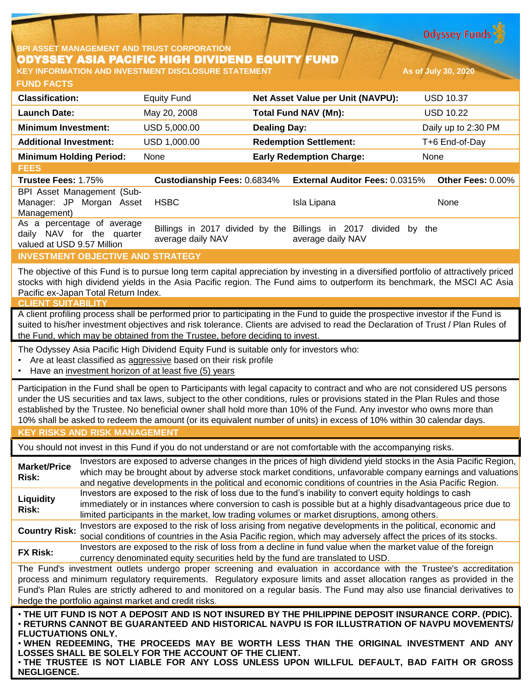**Odyssey Funds** 

## **BPI ASSET MANAGEMENT AND TRUST CORPORATION** ODYSSEY ASIA PACIFIC HIGH DIVIDEND EQUITY FUND **KEY INFORMATION AND INVESTMENT DISCLOSURE STATEMENT As of July 30, 2020**

| <b>FUND FACTS</b>                             |                             |                                       |                          |
|-----------------------------------------------|-----------------------------|---------------------------------------|--------------------------|
| <b>Classification:</b>                        | <b>Equity Fund</b>          | Net Asset Value per Unit (NAVPU):     | <b>USD 10.37</b>         |
| <b>Launch Date:</b>                           | May 20, 2008                | Total Fund NAV (Mn):                  | <b>USD 10.22</b>         |
| <b>Minimum Investment:</b>                    | USD 5,000.00                | <b>Dealing Day:</b>                   | Daily up to 2:30 PM      |
| <b>Additional Investment:</b>                 | USD 1,000.00                | <b>Redemption Settlement:</b>         | T+6 End-of-Day           |
| <b>Minimum Holding Period:</b>                | None                        | <b>Early Redemption Charge:</b>       | None                     |
| <b>FEES</b>                                   |                             |                                       |                          |
| <b>Trustee Fees: 1.75%</b>                    | Custodianship Fees: 0.6834% | <b>External Auditor Fees: 0.0315%</b> | <b>Other Fees: 0.00%</b> |
| BPI Asset Management (Sub-                    |                             |                                       |                          |
| Manager: JP<br>Morgan<br>Asset<br>Management) | <b>HSBC</b>                 | Isla Lipana                           | None                     |

As a percentage of average daily NAV for the quarter valued at USD 9.57 Million Billings in 2017 divided by the Billings in 2017 divided by the average daily NAV average daily NAV

# **INVESTMENT OBJECTIVE AND STRATEGY**

The objective of this Fund is to pursue long term capital appreciation by investing in a diversified portfolio of attractively priced stocks with high dividend yields in the Asia Pacific region. The Fund aims to outperform its benchmark, the MSCI AC Asia Pacific ex-Japan Total Return Index.

#### **CLIENT SUITABILIT**

A client profiling process shall be performed prior to participating in the Fund to guide the prospective investor if the Fund is suited to his/her investment objectives and risk tolerance. Clients are advised to read the Declaration of Trust / Plan Rules of the Fund, which may be obtained from the Trustee, before deciding to invest.

The Odyssey Asia Pacific High Dividend Equity Fund is suitable only for investors who:

- Are at least classified as aggressive based on their risk profile
- Have an investment horizon of at least five (5) years

Participation in the Fund shall be open to Participants with legal capacity to contract and who are not considered US persons under the US securities and tax laws, subject to the other conditions, rules or provisions stated in the Plan Rules and those established by the Trustee. No beneficial owner shall hold more than 10% of the Fund. Any investor who owns more than 10% shall be asked to redeem the amount (or its equivalent number of units) in excess of 10% within 30 calendar days.

## **KEY RISKS AND RISK MANAGEMENT**

You should not invest in this Fund if you do not understand or are not comfortable with the accompanying risks.

**Market/Price Risk:** Investors are exposed to adverse changes in the prices of high dividend yield stocks in the Asia Pacific Region, which may be brought about by adverse stock market conditions, unfavorable company earnings and valuations and negative developments in the political and economic conditions of countries in the Asia Pacific Region. **Liquidity Risk:** Investors are exposed to the risk of loss due to the fund's inability to convert equity holdings to cash immediately or in instances where conversion to cash is possible but at a highly disadvantageous price due to limited participants in the market, low trading volumes or market disruptions, among others. **Country Risk:** Investors are exposed to the risk of loss arising from negative developments in the political, economic and<br>Country Risk: experiment is and countries in the Asia Resification which were at your above at the

social conditions of countries in the Asia Pacific region, which may adversely affect the prices of its stocks. **FX Risk:** Investors are exposed to the risk of loss from a decline in fund value when the market value of the foreign

currency denominated equity securities held by the fund are translated to USD.

The Fund's investment outlets undergo proper screening and evaluation in accordance with the Trustee's accreditation process and minimum regulatory requirements. Regulatory exposure limits and asset allocation ranges as provided in the Fund's Plan Rules are strictly adhered to and monitored on a regular basis. The Fund may also use financial derivatives to hedge the portfolio against market and credit risks.

• THE UIT FUND IS NOT A DEPOSIT AND IS NOT INSURED BY THE PHILIPPINE DEPOSIT INSURANCE CORP. (PDIC). • **RETURNS CANNOT BE GUARANTEED AND HISTORICAL NAVPU IS FOR ILLUSTRATION OF NAVPU MOVEMENTS/ FLUCTUATIONS ONLY.**

• **WHEN REDEEMING, THE PROCEEDS MAY BE WORTH LESS THAN THE ORIGINAL INVESTMENT AND ANY LOSSES SHALL BE SOLELY FOR THE ACCOUNT OF THE CLIENT.**

• **THE TRUSTEE IS NOT LIABLE FOR ANY LOSS UNLESS UPON WILLFUL DEFAULT, BAD FAITH OR GROSS NEGLIGENCE.**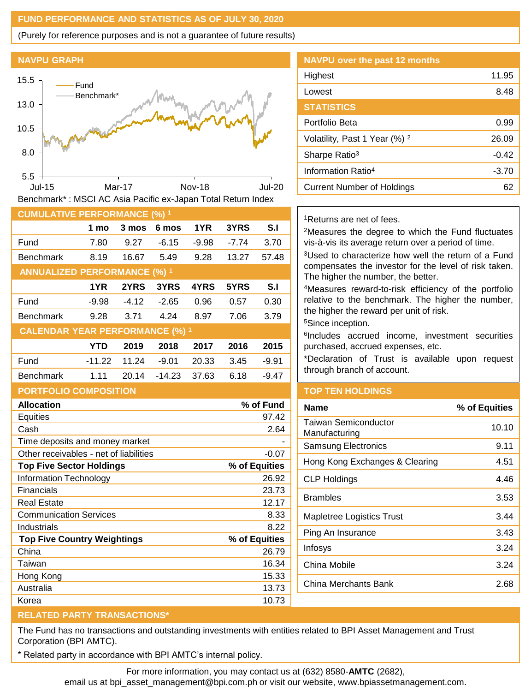## **FUND PERFORMANCE AND STATISTICS AS OF JULY 30, 2020**

(Purely for reference purposes and is not a guarantee of future results)

### **NAVPU GRAPH**



| <b>CUMULATIVE PERFORMANCE (%) 1</b>    |            |         |          |       |       |         |
|----------------------------------------|------------|---------|----------|-------|-------|---------|
|                                        | 1 mo       | 3 mos   | 6 mos    | 1YR   | 3YRS  | S.I     |
| Fund                                   | 7.80       | 9.27    | -6.15    | -9.98 | -7.74 | 3.70    |
| <b>Benchmark</b>                       | 8.19       | 16.67   | 5.49     | 9.28  | 13.27 | 57.48   |
| <b>ANNUALIZED PERFORMANCE (%) 1</b>    |            |         |          |       |       |         |
|                                        | 1YR        | 2YRS    | 3YRS     | 4YRS  | 5YRS  | S.I     |
| Fund                                   | $-9.98$    | $-4.12$ | $-2.65$  | 0.96  | 0.57  | 0.30    |
| <b>Benchmark</b>                       | 9.28       | 3.71    | 4.24     | 8.97  | 7.06  | 3.79    |
| <b>CALENDAR YEAR PERFORMANCE (%) 1</b> |            |         |          |       |       |         |
|                                        | <b>YTD</b> | 2019    | 2018     | 2017  | 2016  | 2015    |
| Fund                                   | $-11.22$   | 11.24   | $-9.01$  | 20.33 | 3.45  | $-9.91$ |
| <b>Benchmark</b>                       | 1.11       | 20.14   | $-14.23$ | 37.63 | 6.18  | $-9.47$ |
|                                        |            |         |          |       |       |         |

# **PORTFOLIO COMPOSITION**

| <b>Allocation</b>                      | % of Fund     |
|----------------------------------------|---------------|
| <b>Equities</b>                        | 97.42         |
| Cash                                   | 2.64          |
| Time deposits and money market         |               |
| Other receivables - net of liabilities | $-0.07$       |
| <b>Top Five Sector Holdings</b>        | % of Equities |
| <b>Information Technology</b>          | 26.92         |
| Financials                             | 23.73         |
| Real Estate                            | 12.17         |
| <b>Communication Services</b>          | 8.33          |
| Industrials                            | 8.22          |
| <b>Top Five Country Weightings</b>     | % of Equities |
| China                                  | 26.79         |
| Taiwan                                 | 16.34         |
| Hong Kong                              | 15.33         |
| Australia                              | 13.73         |
| Korea                                  | 10.73         |

| <b>NAVPU</b> over the past 12 months     |         |
|------------------------------------------|---------|
| Highest                                  | 11.95   |
| Lowest                                   | 8.48    |
| <b>STATISTICS</b>                        |         |
| Portfolio Beta                           | 0.99    |
| Volatility, Past 1 Year (%) <sup>2</sup> | 26.09   |
| Sharpe Ratio <sup>3</sup>                | $-0.42$ |
| Information Ratio <sup>4</sup>           | $-3.70$ |
| Current Number of Holdings               | 62      |

## <sup>1</sup>Returns are net of fees.

<sup>2</sup>Measures the degree to which the Fund fluctuates vis-à-vis its average return over a period of time.

<sup>3</sup>Used to characterize how well the return of a Fund compensates the investor for the level of risk taken. The higher the number, the better.

<sup>4</sup>Measures reward-to-risk efficiency of the portfolio relative to the benchmark. The higher the number, the higher the reward per unit of risk.

<sup>5</sup>Since inception.

6 Includes accrued income, investment securities purchased, accrued expenses, etc.

\*Declaration of Trust is available upon request through branch of account.

# **TOP TEN HOLDINGS**

| Name                                  | % of Equities |
|---------------------------------------|---------------|
| Taiwan Semiconductor<br>Manufacturing | 10.10         |
| <b>Samsung Electronics</b>            | 9.11          |
| Hong Kong Exchanges & Clearing        | 4.51          |
| <b>CLP Holdings</b>                   | 4.46          |
| Brambles                              | 3.53          |
| Mapletree Logistics Trust             | 3.44          |
| Ping An Insurance                     | 3.43          |
| Infosys                               | 3.24          |
| China Mobile                          | 3.24          |
| China Merchants Bank                  | 2.68          |
|                                       |               |

# **RELATED PARTY TRANSACTIONS\***

The Fund has no transactions and outstanding investments with entities related to BPI Asset Management and Trust Corporation (BPI AMTC).

Related party in accordance with BPI AMTC's internal policy.

For more information, you may contact us at (632) 8580-**AMTC** (2682),

email us at bpi\_asset\_management@bpi.com.ph or visit our website, www.bpiassetmanagement.com.